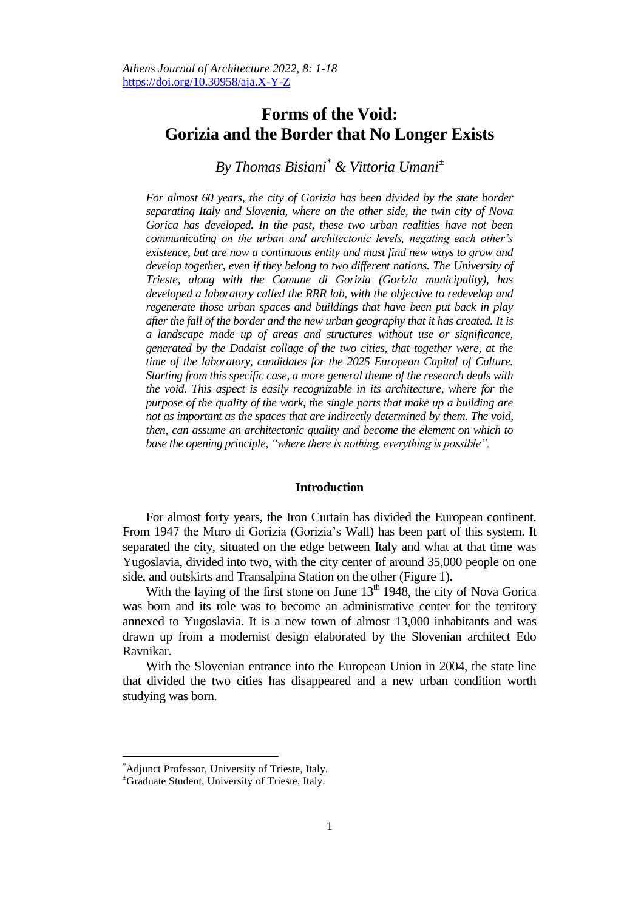# **Forms of the Void: Gorizia and the Border that No Longer Exists**

# *By Thomas Bisiani\* & Vittoria Umani<sup>±</sup>*

*For almost 60 years, the city of Gorizia has been divided by the state border separating Italy and Slovenia, where on the other side, the twin city of Nova Gorica has developed. In the past, these two urban realities have not been communicating on the urban and architectonic levels, negating each other's existence, but are now a continuous entity and must find new ways to grow and develop together, even if they belong to two different nations. The University of Trieste, along with the Comune di Gorizia (Gorizia municipality), has developed a laboratory called the RRR lab, with the objective to redevelop and regenerate those urban spaces and buildings that have been put back in play after the fall of the border and the new urban geography that it has created. It is a landscape made up of areas and structures without use or significance, generated by the Dadaist collage of the two cities, that together were, at the time of the laboratory, candidates for the 2025 European Capital of Culture. Starting from this specific case, a more general theme of the research deals with the void. This aspect is easily recognizable in its architecture, where for the purpose of the quality of the work, the single parts that make up a building are not as important as the spaces that are indirectly determined by them. The void, then, can assume an architectonic quality and become the element on which to base the opening principle, "where there is nothing, everything is possible".*

#### **Introduction**

For almost forty years, the Iron Curtain has divided the European continent. From 1947 the Muro di Gorizia (Gorizia's Wall) has been part of this system. It separated the city, situated on the edge between Italy and what at that time was Yugoslavia, divided into two, with the city center of around 35,000 people on one side, and outskirts and Transalpina Station on the other (Figure 1).

With the laying of the first stone on June  $13<sup>th</sup> 1948$ , the city of Nova Gorica was born and its role was to become an administrative center for the territory annexed to Yugoslavia. It is a new town of almost 13,000 inhabitants and was drawn up from a modernist design elaborated by the Slovenian architect Edo Ravnikar.

With the Slovenian entrance into the European Union in 2004, the state line that divided the two cities has disappeared and a new urban condition worth studying was born.

<sup>\*</sup>Adjunct Professor, University of Trieste, Italy.

<sup>±</sup>Graduate Student, University of Trieste, Italy.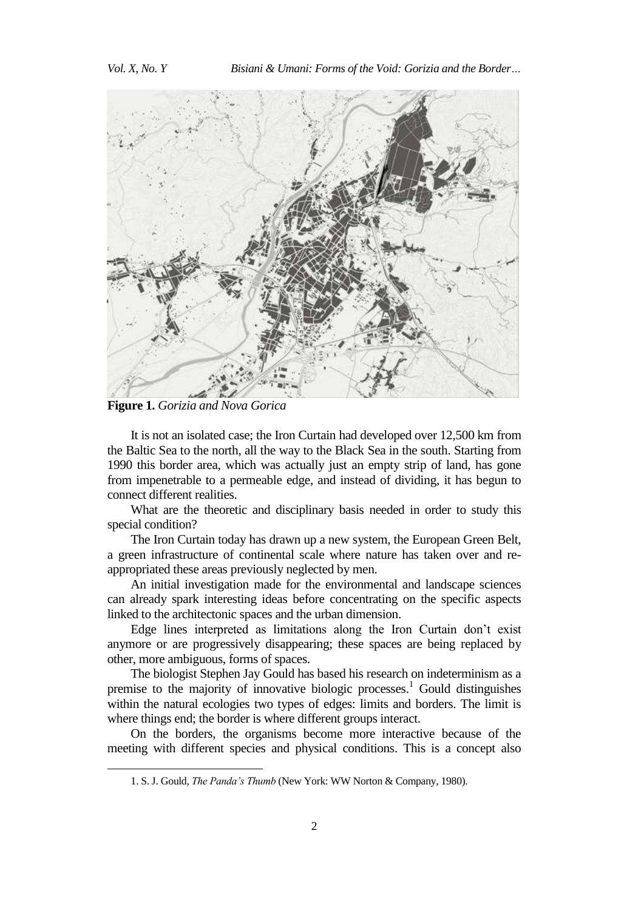

**Figure 1.** *Gorizia and Nova Gorica*

 $\overline{a}$ 

It is not an isolated case; the Iron Curtain had developed over 12,500 km from the Baltic Sea to the north, all the way to the Black Sea in the south. Starting from 1990 this border area, which was actually just an empty strip of land, has gone from impenetrable to a permeable edge, and instead of dividing, it has begun to connect different realities.

What are the theoretic and disciplinary basis needed in order to study this special condition?

The Iron Curtain today has drawn up a new system, the European Green Belt, a green infrastructure of continental scale where nature has taken over and reappropriated these areas previously neglected by men.

An initial investigation made for the environmental and landscape sciences can already spark interesting ideas before concentrating on the specific aspects linked to the architectonic spaces and the urban dimension.

Edge lines interpreted as limitations along the Iron Curtain don't exist anymore or are progressively disappearing; these spaces are being replaced by other, more ambiguous, forms of spaces.

The biologist Stephen Jay Gould has based his research on indeterminism as a premise to the majority of innovative biologic processes. <sup>1</sup> Gould distinguishes within the natural ecologies two types of edges: limits and borders. The limit is where things end; the border is where different groups interact.

On the borders, the organisms become more interactive because of the meeting with different species and physical conditions. This is a concept also

<sup>1.</sup> S. J. Gould, *The Panda's Thumb* (New York: WW Norton & Company, 1980).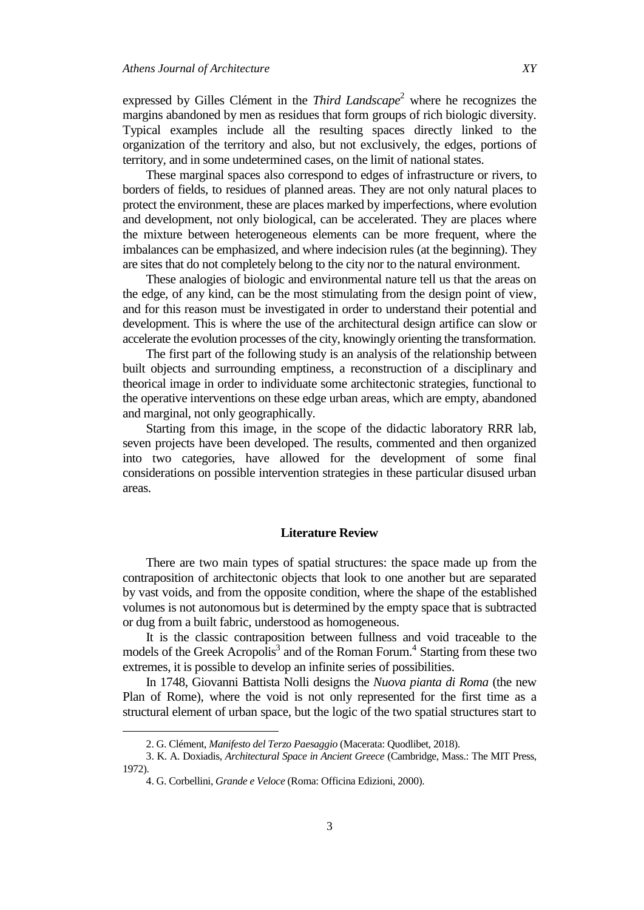expressed by Gilles Clément in the *Third Landscape* <sup>2</sup> where he recognizes the margins abandoned by men as residues that form groups of rich biologic diversity. Typical examples include all the resulting spaces directly linked to the organization of the territory and also, but not exclusively, the edges, portions of territory, and in some undetermined cases, on the limit of national states.

These marginal spaces also correspond to edges of infrastructure or rivers, to borders of fields, to residues of planned areas. They are not only natural places to protect the environment, these are places marked by imperfections, where evolution and development, not only biological, can be accelerated. They are places where the mixture between heterogeneous elements can be more frequent, where the imbalances can be emphasized, and where indecision rules (at the beginning). They are sites that do not completely belong to the city nor to the natural environment.

These analogies of biologic and environmental nature tell us that the areas on the edge, of any kind, can be the most stimulating from the design point of view, and for this reason must be investigated in order to understand their potential and development. This is where the use of the architectural design artifice can slow or accelerate the evolution processes of the city, knowingly orienting the transformation.

The first part of the following study is an analysis of the relationship between built objects and surrounding emptiness, a reconstruction of a disciplinary and theorical image in order to individuate some architectonic strategies, functional to the operative interventions on these edge urban areas, which are empty, abandoned and marginal, not only geographically.

Starting from this image, in the scope of the didactic laboratory RRR lab, seven projects have been developed. The results, commented and then organized into two categories, have allowed for the development of some final considerations on possible intervention strategies in these particular disused urban areas.

#### **Literature Review**

There are two main types of spatial structures: the space made up from the contraposition of architectonic objects that look to one another but are separated by vast voids, and from the opposite condition, where the shape of the established volumes is not autonomous but is determined by the empty space that is subtracted or dug from a built fabric, understood as homogeneous.

It is the classic contraposition between fullness and void traceable to the models of the Greek Acropolis<sup>3</sup> and of the Roman Forum.<sup>4</sup> Starting from these two extremes, it is possible to develop an infinite series of possibilities.

In 1748, Giovanni Battista Nolli designs the *Nuova pianta di Roma* (the new Plan of Rome), where the void is not only represented for the first time as a structural element of urban space, but the logic of the two spatial structures start to

3

<sup>2.</sup> G. Clément, *Manifesto del Terzo Paesaggio* (Macerata: Quodlibet, 2018).

<sup>3.</sup> K. A. Doxiadis, *Architectural Space in Ancient Greece* (Cambridge, Mass.: The MIT Press, 1972).

<sup>4.</sup> G. Corbellini, *Grande e Veloce* (Roma: Officina Edizioni, 2000).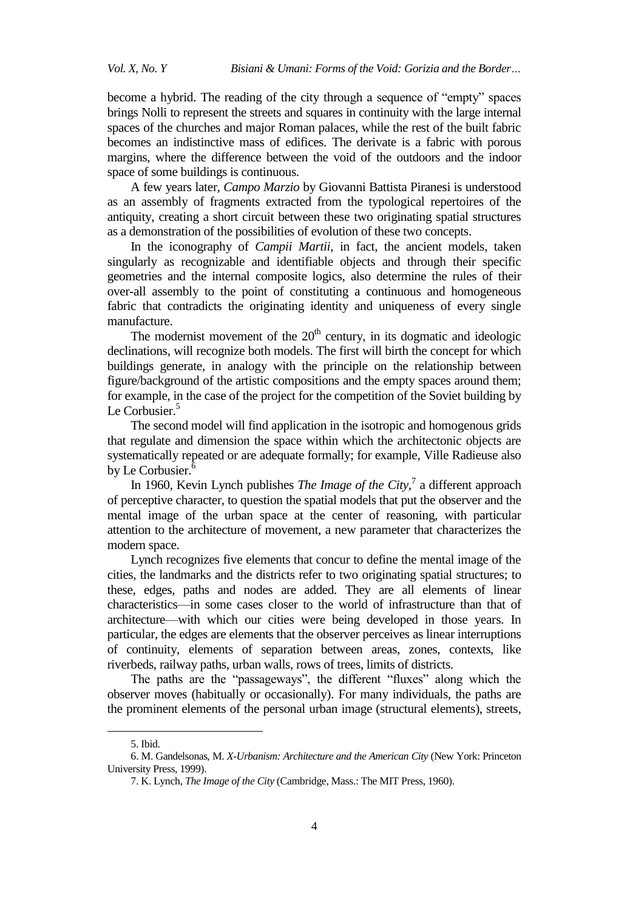become a hybrid. The reading of the city through a sequence of "empty" spaces brings Nolli to represent the streets and squares in continuity with the large internal spaces of the churches and major Roman palaces, while the rest of the built fabric becomes an indistinctive mass of edifices. The derivate is a fabric with porous margins, where the difference between the void of the outdoors and the indoor space of some buildings is continuous.

A few years later, *Campo Marzio* by Giovanni Battista Piranesi is understood as an assembly of fragments extracted from the typological repertoires of the antiquity, creating a short circuit between these two originating spatial structures as a demonstration of the possibilities of evolution of these two concepts.

In the iconography of *Campii Martii*, in fact, the ancient models, taken singularly as recognizable and identifiable objects and through their specific geometries and the internal composite logics, also determine the rules of their over-all assembly to the point of constituting a continuous and homogeneous fabric that contradicts the originating identity and uniqueness of every single manufacture.

The modernist movement of the  $20<sup>th</sup>$  century, in its dogmatic and ideologic declinations, will recognize both models. The first will birth the concept for which buildings generate, in analogy with the principle on the relationship between figure/background of the artistic compositions and the empty spaces around them; for example, in the case of the project for the competition of the Soviet building by Le Corbusier.<sup>5</sup>

The second model will find application in the isotropic and homogenous grids that regulate and dimension the space within which the architectonic objects are systematically repeated or are adequate formally; for example, Ville Radieuse also by Le Corbusier.<sup>6</sup>

In 1960, Kevin Lynch publishes *The Image of the City*,<sup>7</sup> a different approach of perceptive character, to question the spatial models that put the observer and the mental image of the urban space at the center of reasoning, with particular attention to the architecture of movement, a new parameter that characterizes the modern space.

Lynch recognizes five elements that concur to define the mental image of the cities, the landmarks and the districts refer to two originating spatial structures; to these, edges, paths and nodes are added. They are all elements of linear characteristics—in some cases closer to the world of infrastructure than that of architecture—with which our cities were being developed in those years. In particular, the edges are elements that the observer perceives as linear interruptions of continuity, elements of separation between areas, zones, contexts, like riverbeds, railway paths, urban walls, rows of trees, limits of districts.

The paths are the "passageways", the different "fluxes" along which the observer moves (habitually or occasionally). For many individuals, the paths are the prominent elements of the personal urban image (structural elements), streets,

<sup>5.</sup> Ibid.

<sup>6.</sup> M. Gandelsonas, M. *X-Urbanism: Architecture and the American City* (New York: Princeton University Press, 1999).

<sup>7.</sup> K. Lynch, *The Image of the City* (Cambridge, Mass.: The MIT Press, 1960).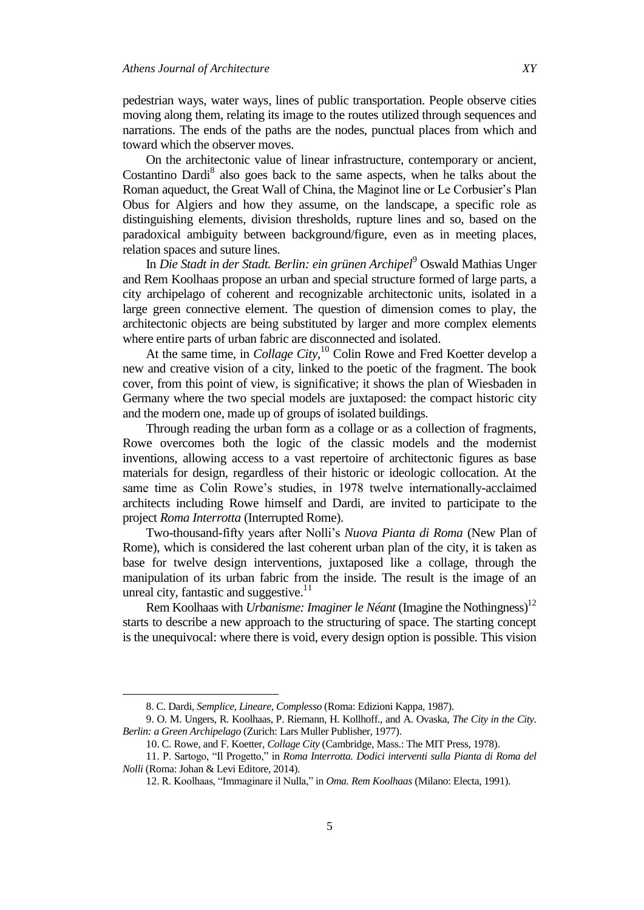pedestrian ways, water ways, lines of public transportation. People observe cities moving along them, relating its image to the routes utilized through sequences and narrations. The ends of the paths are the nodes, punctual places from which and toward which the observer moves.

On the architectonic value of linear infrastructure, contemporary or ancient, Costantino Dardi<sup>8</sup> also goes back to the same aspects, when he talks about the Roman aqueduct, the Great Wall of China, the Maginot line or Le Corbusier's Plan Obus for Algiers and how they assume, on the landscape, a specific role as distinguishing elements, division thresholds, rupture lines and so, based on the paradoxical ambiguity between background/figure, even as in meeting places, relation spaces and suture lines.

In *Die Stadt in der Stadt. Berlin: ein grünen Archipel*<sup>9</sup> Oswald Mathias Unger and Rem Koolhaas propose an urban and special structure formed of large parts, a city archipelago of coherent and recognizable architectonic units, isolated in a large green connective element. The question of dimension comes to play, the architectonic objects are being substituted by larger and more complex elements where entire parts of urban fabric are disconnected and isolated.

At the same time, in *Collage City*, <sup>10</sup> Colin Rowe and Fred Koetter develop a new and creative vision of a city, linked to the poetic of the fragment. The book cover, from this point of view, is significative; it shows the plan of Wiesbaden in Germany where the two special models are juxtaposed: the compact historic city and the modern one, made up of groups of isolated buildings.

Through reading the urban form as a collage or as a collection of fragments, Rowe overcomes both the logic of the classic models and the modernist inventions, allowing access to a vast repertoire of architectonic figures as base materials for design, regardless of their historic or ideologic collocation. At the same time as Colin Rowe's studies, in 1978 twelve internationally-acclaimed architects including Rowe himself and Dardi, are invited to participate to the project *Roma Interrotta* (Interrupted Rome).

Two-thousand-fifty years after Nolli's *Nuova Pianta di Roma* (New Plan of Rome), which is considered the last coherent urban plan of the city, it is taken as base for twelve design interventions, juxtaposed like a collage, through the manipulation of its urban fabric from the inside. The result is the image of an unreal city, fantastic and suggestive.<sup>11</sup>

Rem Koolhaas with *Urbanisme: Imaginer le Néant* (Imagine the Nothingness)<sup>12</sup> starts to describe a new approach to the structuring of space. The starting concept is the unequivocal: where there is void, every design option is possible. This vision

<sup>8.</sup> C. Dardi, *Semplice, Lineare, Complesso* (Roma: Edizioni Kappa, 1987).

<sup>9.</sup> O. M. Ungers, R. Koolhaas, P. Riemann, H. Kollhoff., and A. Ovaska, *The City in the City. Berlin: a Green Archipelago* (Zurich: Lars Muller Publisher, 1977).

<sup>10.</sup> C. Rowe, and F. Koetter, *Collage City* (Cambridge, Mass.: The MIT Press, 1978).

<sup>11.</sup> P. Sartogo, "Il Progetto," in *Roma Interrotta. Dodici interventi sulla Pianta di Roma del Nolli* (Roma: Johan & Levi Editore, 2014).

<sup>12.</sup> R. Koolhaas, "Immaginare il Nulla," in *Oma. Rem Koolhaas* (Milano: Electa, 1991).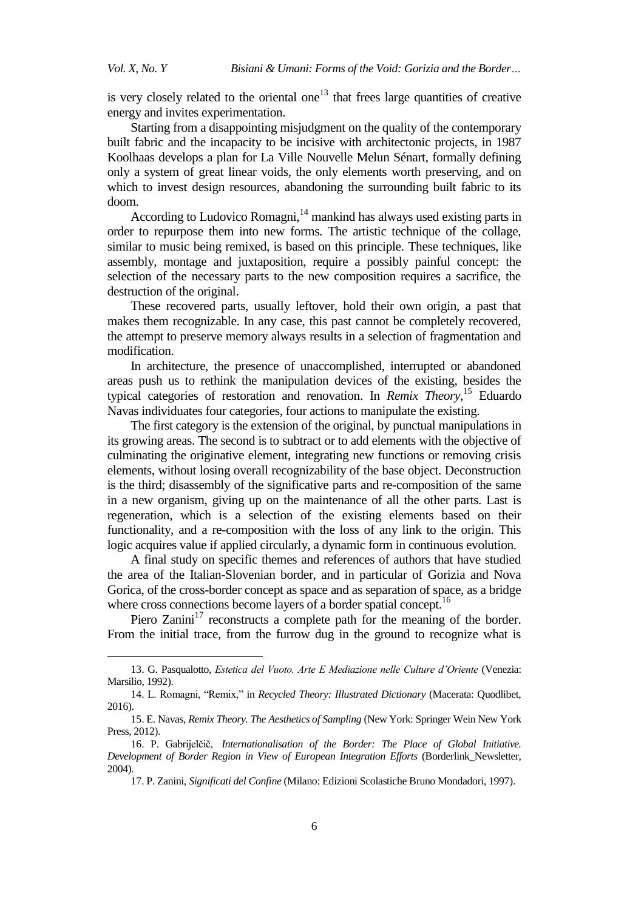$\overline{a}$ 

is very closely related to the oriental one<sup>13</sup> that frees large quantities of creative energy and invites experimentation.

Starting from a disappointing misjudgment on the quality of the contemporary built fabric and the incapacity to be incisive with architectonic projects, in 1987 Koolhaas develops a plan for La Ville Nouvelle Melun Sénart, formally defining only a system of great linear voids, the only elements worth preserving, and on which to invest design resources, abandoning the surrounding built fabric to its doom.

According to Ludovico Romagni, $<sup>14</sup>$  mankind has always used existing parts in</sup> order to repurpose them into new forms. The artistic technique of the collage, similar to music being remixed, is based on this principle. These techniques, like assembly, montage and juxtaposition, require a possibly painful concept: the selection of the necessary parts to the new composition requires a sacrifice, the destruction of the original.

These recovered parts, usually leftover, hold their own origin, a past that makes them recognizable. In any case, this past cannot be completely recovered, the attempt to preserve memory always results in a selection of fragmentation and modification.

In architecture, the presence of unaccomplished, interrupted or abandoned areas push us to rethink the manipulation devices of the existing, besides the typical categories of restoration and renovation. In *Remix Theory*, <sup>15</sup> Eduardo Navas individuates four categories, four actions to manipulate the existing.

The first category is the extension of the original, by punctual manipulations in its growing areas. The second is to subtract or to add elements with the objective of culminating the originative element, integrating new functions or removing crisis elements, without losing overall recognizability of the base object. Deconstruction is the third; disassembly of the significative parts and re-composition of the same in a new organism, giving up on the maintenance of all the other parts. Last is regeneration, which is a selection of the existing elements based on their functionality, and a re-composition with the loss of any link to the origin. This logic acquires value if applied circularly, a dynamic form in continuous evolution.

A final study on specific themes and references of authors that have studied the area of the Italian-Slovenian border, and in particular of Gorizia and Nova Gorica, of the cross-border concept as space and as separation of space, as a bridge where cross connections become layers of a border spatial concept.<sup>16</sup>

Piero Zanini $17$  reconstructs a complete path for the meaning of the border. From the initial trace, from the furrow dug in the ground to recognize what is

<sup>13.</sup> G. Pasqualotto, *Estetica del Vuoto. Arte E Mediazione nelle Culture d'Oriente* (Venezia: Marsilio, 1992).

<sup>14.</sup> L. Romagni, "Remix," in *Recycled Theory: Illustrated Dictionary* (Macerata: Quodlibet, 2016).

<sup>15.</sup> E. Navas, *Remix Theory. The Aesthetics of Sampling* (New York: Springer Wein New York Press, 2012).

<sup>16.</sup> P. Gabrijelčič, *Internationalisation of the Border: The Place of Global Initiative. Development of Border Region in View of European Integration Efforts* (Borderlink\_Newsletter, 2004).

<sup>17.</sup> P. Zanini, *Significati del Confine* (Milano: Edizioni Scolastiche Bruno Mondadori, 1997).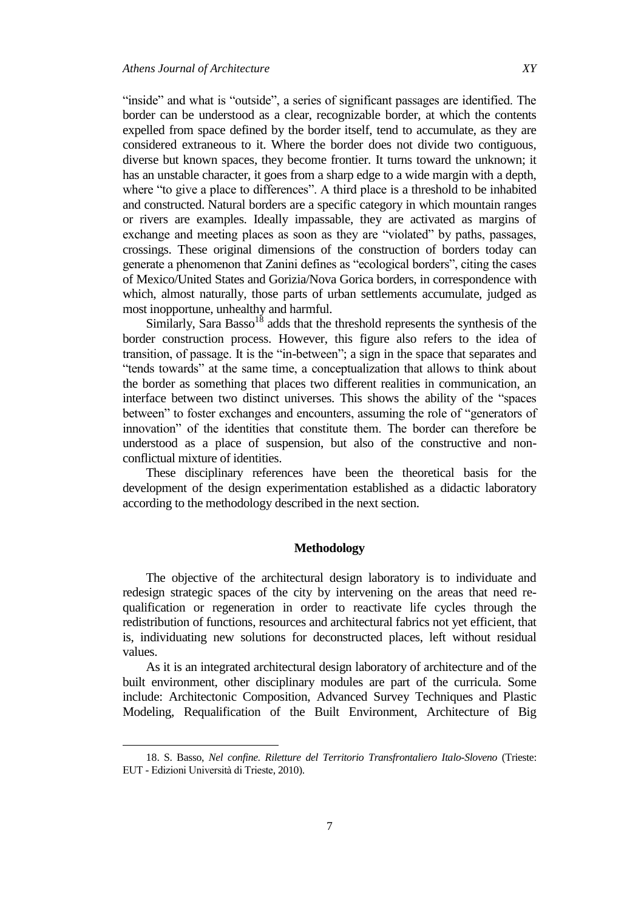$\overline{a}$ 

"inside" and what is "outside", a series of significant passages are identified. The

border can be understood as a clear, recognizable border, at which the contents expelled from space defined by the border itself, tend to accumulate, as they are considered extraneous to it. Where the border does not divide two contiguous, diverse but known spaces, they become frontier. It turns toward the unknown; it has an unstable character, it goes from a sharp edge to a wide margin with a depth, where "to give a place to differences". A third place is a threshold to be inhabited and constructed. Natural borders are a specific category in which mountain ranges or rivers are examples. Ideally impassable, they are activated as margins of exchange and meeting places as soon as they are "violated" by paths, passages, crossings. These original dimensions of the construction of borders today can generate a phenomenon that Zanini defines as "ecological borders", citing the cases of Mexico/United States and Gorizia/Nova Gorica borders, in correspondence with which, almost naturally, those parts of urban settlements accumulate, judged as most inopportune, unhealthy and harmful.

Similarly, Sara Basso<sup>18</sup> adds that the threshold represents the synthesis of the border construction process. However, this figure also refers to the idea of transition, of passage. It is the "in-between"; a sign in the space that separates and "tends towards" at the same time, a conceptualization that allows to think about the border as something that places two different realities in communication, an interface between two distinct universes. This shows the ability of the "spaces" between" to foster exchanges and encounters, assuming the role of "generators of innovation" of the identities that constitute them. The border can therefore be understood as a place of suspension, but also of the constructive and nonconflictual mixture of identities.

These disciplinary references have been the theoretical basis for the development of the design experimentation established as a didactic laboratory according to the methodology described in the next section.

## **Methodology**

The objective of the architectural design laboratory is to individuate and redesign strategic spaces of the city by intervening on the areas that need requalification or regeneration in order to reactivate life cycles through the redistribution of functions, resources and architectural fabrics not yet efficient, that is, individuating new solutions for deconstructed places, left without residual values.

As it is an integrated architectural design laboratory of architecture and of the built environment, other disciplinary modules are part of the curricula. Some include: Architectonic Composition, Advanced Survey Techniques and Plastic Modeling, Requalification of the Built Environment, Architecture of Big

<sup>18.</sup> S. Basso, *Nel confine. Riletture del Territorio Transfrontaliero Italo-Sloveno* (Trieste: EUT - Edizioni Università di Trieste, 2010).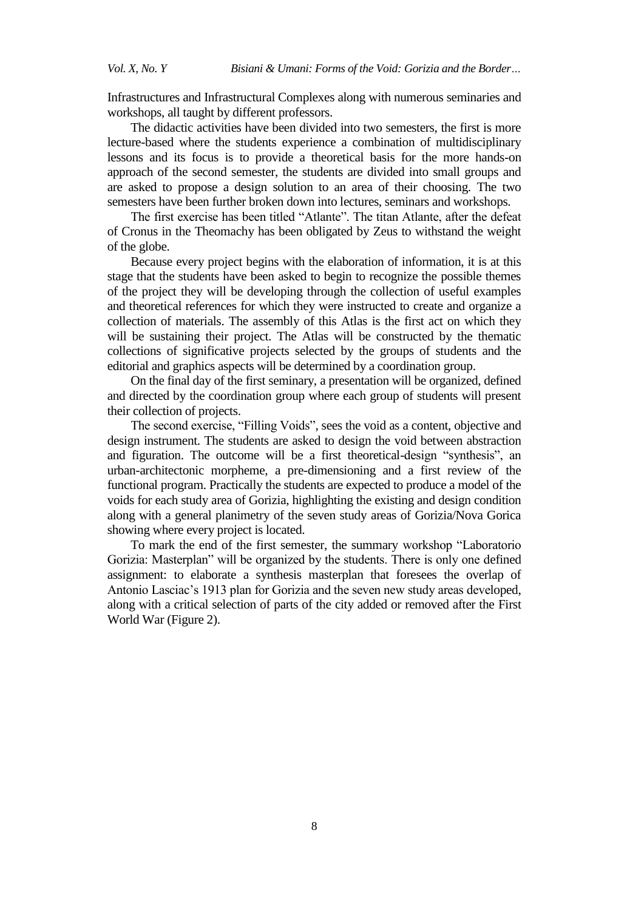Infrastructures and Infrastructural Complexes along with numerous seminaries and workshops, all taught by different professors.

The didactic activities have been divided into two semesters, the first is more lecture-based where the students experience a combination of multidisciplinary lessons and its focus is to provide a theoretical basis for the more hands-on approach of the second semester, the students are divided into small groups and are asked to propose a design solution to an area of their choosing. The two semesters have been further broken down into lectures, seminars and workshops.

The first exercise has been titled "Atlante". The titan Atlante, after the defeat of Cronus in the Theomachy has been obligated by Zeus to withstand the weight of the globe.

Because every project begins with the elaboration of information, it is at this stage that the students have been asked to begin to recognize the possible themes of the project they will be developing through the collection of useful examples and theoretical references for which they were instructed to create and organize a collection of materials. The assembly of this Atlas is the first act on which they will be sustaining their project. The Atlas will be constructed by the thematic collections of significative projects selected by the groups of students and the editorial and graphics aspects will be determined by a coordination group.

On the final day of the first seminary, a presentation will be organized, defined and directed by the coordination group where each group of students will present their collection of projects.

The second exercise, "Filling Voids", sees the void as a content, objective and design instrument. The students are asked to design the void between abstraction and figuration. The outcome will be a first theoretical-design "synthesis", an urban-architectonic morpheme, a pre-dimensioning and a first review of the functional program. Practically the students are expected to produce a model of the voids for each study area of Gorizia, highlighting the existing and design condition along with a general planimetry of the seven study areas of Gorizia/Nova Gorica showing where every project is located.

To mark the end of the first semester, the summary workshop "Laboratorio Gorizia: Masterplan" will be organized by the students. There is only one defined assignment: to elaborate a synthesis masterplan that foresees the overlap of Antonio Lasciac's 1913 plan for Gorizia and the seven new study areas developed, along with a critical selection of parts of the city added or removed after the First World War (Figure 2).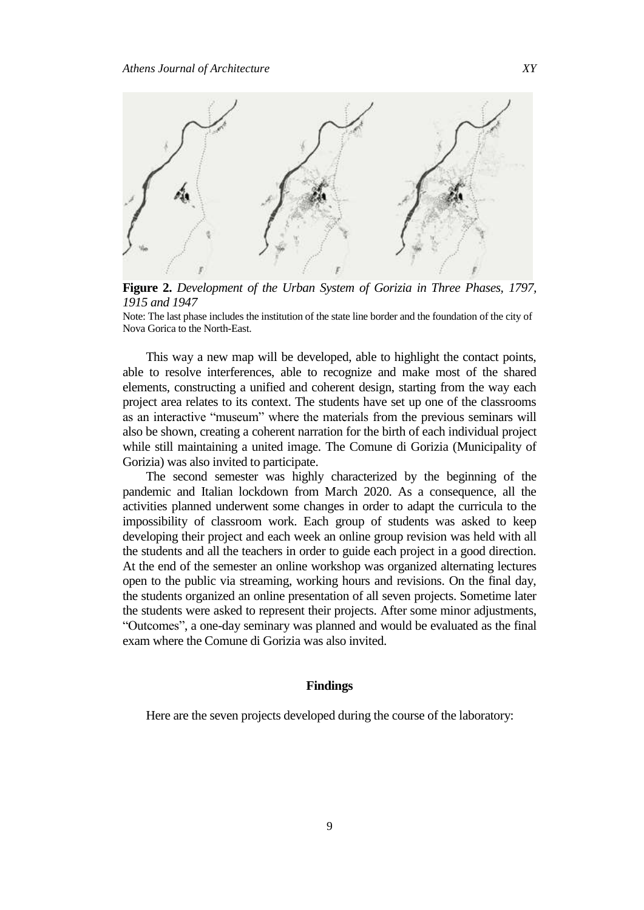

**Figure 2.** *Development of the Urban System of Gorizia in Three Phases, 1797, 1915 and 1947*

Note: The last phase includes the institution of the state line border and the foundation of the city of Nova Gorica to the North-East.

This way a new map will be developed, able to highlight the contact points, able to resolve interferences, able to recognize and make most of the shared elements, constructing a unified and coherent design, starting from the way each project area relates to its context. The students have set up one of the classrooms as an interactive "museum" where the materials from the previous seminars will also be shown, creating a coherent narration for the birth of each individual project while still maintaining a united image. The Comune di Gorizia (Municipality of Gorizia) was also invited to participate.

The second semester was highly characterized by the beginning of the pandemic and Italian lockdown from March 2020. As a consequence, all the activities planned underwent some changes in order to adapt the curricula to the impossibility of classroom work. Each group of students was asked to keep developing their project and each week an online group revision was held with all the students and all the teachers in order to guide each project in a good direction. At the end of the semester an online workshop was organized alternating lectures open to the public via streaming, working hours and revisions. On the final day, the students organized an online presentation of all seven projects. Sometime later the students were asked to represent their projects. After some minor adjustments, ―Outcomes‖, a one-day seminary was planned and would be evaluated as the final exam where the Comune di Gorizia was also invited.

# **Findings**

Here are the seven projects developed during the course of the laboratory: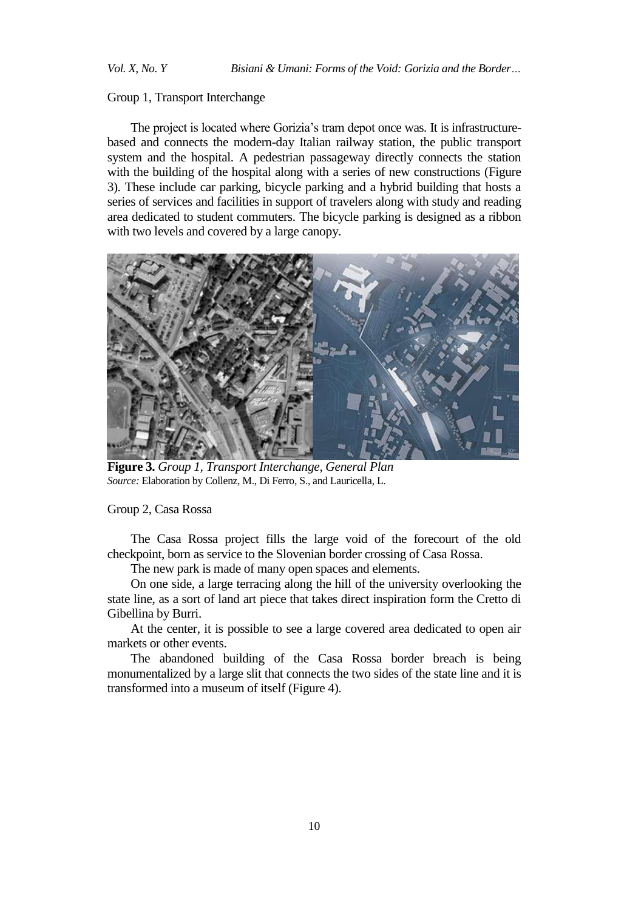### Group 1, Transport Interchange

The project is located where Gorizia's tram depot once was. It is infrastructurebased and connects the modern-day Italian railway station, the public transport system and the hospital. A pedestrian passageway directly connects the station with the building of the hospital along with a series of new constructions (Figure 3). These include car parking, bicycle parking and a hybrid building that hosts a series of services and facilities in support of travelers along with study and reading area dedicated to student commuters. The bicycle parking is designed as a ribbon with two levels and covered by a large canopy.



**Figure 3.** *Group 1, Transport Interchange, General Plan Source:* Elaboration by Collenz, M., Di Ferro, S., and Lauricella, L.

Group 2, Casa Rossa

The Casa Rossa project fills the large void of the forecourt of the old checkpoint, born as service to the Slovenian border crossing of Casa Rossa.

The new park is made of many open spaces and elements.

On one side, a large terracing along the hill of the university overlooking the state line, as a sort of land art piece that takes direct inspiration form the Cretto di Gibellina by Burri.

At the center, it is possible to see a large covered area dedicated to open air markets or other events.

The abandoned building of the Casa Rossa border breach is being monumentalized by a large slit that connects the two sides of the state line and it is transformed into a museum of itself (Figure 4).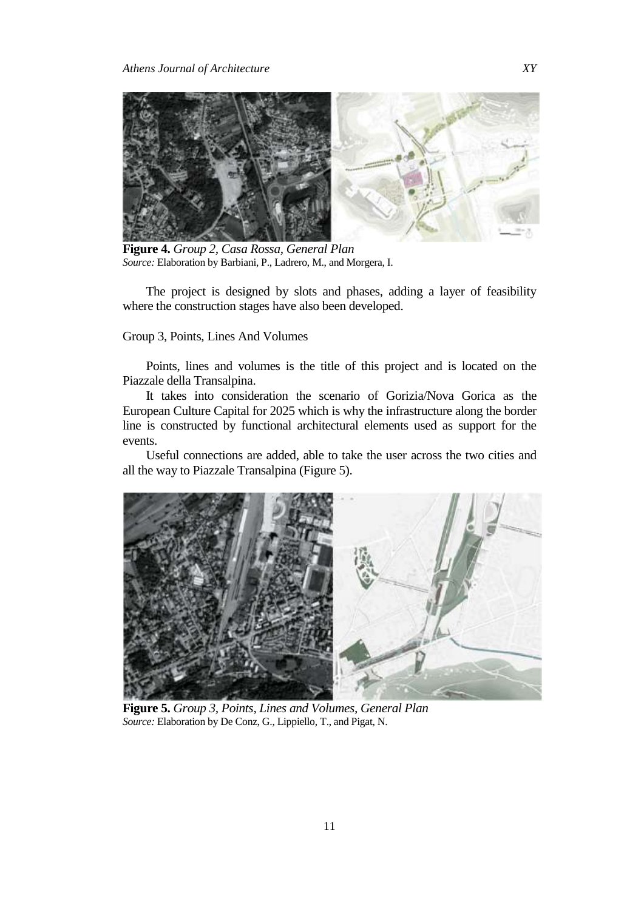

**Figure 4.** *Group 2, Casa Rossa, General Plan Source:* Elaboration by Barbiani, P., Ladrero, M., and Morgera, I.

The project is designed by slots and phases, adding a layer of feasibility where the construction stages have also been developed.

Group 3, Points, Lines And Volumes

Points, lines and volumes is the title of this project and is located on the Piazzale della Transalpina.

It takes into consideration the scenario of Gorizia/Nova Gorica as the European Culture Capital for 2025 which is why the infrastructure along the border line is constructed by functional architectural elements used as support for the events.

Useful connections are added, able to take the user across the two cities and all the way to Piazzale Transalpina (Figure 5).



**Figure 5.** *Group 3, Points, Lines and Volumes, General Plan Source:* Elaboration by De Conz, G., Lippiello, T., and Pigat, N.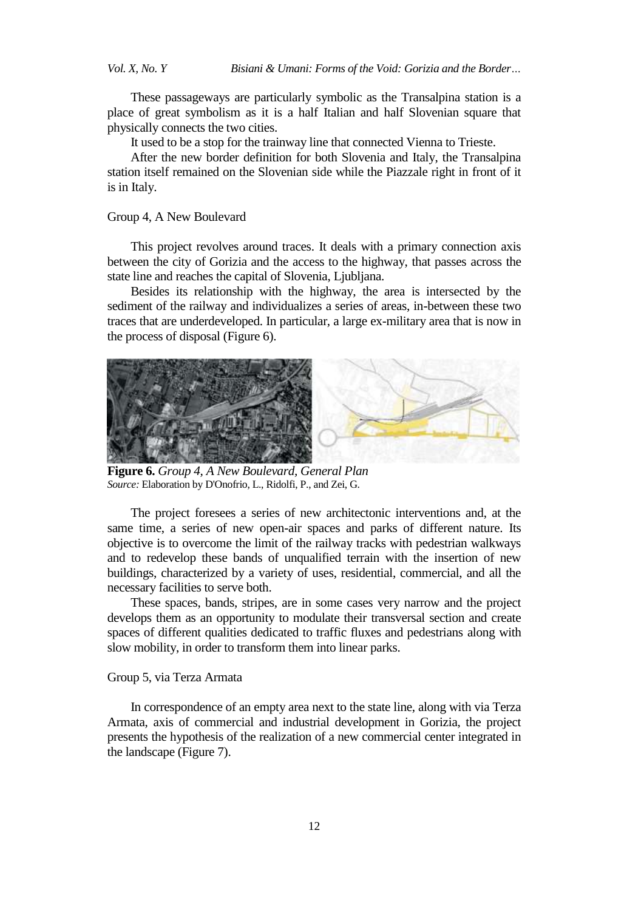These passageways are particularly symbolic as the Transalpina station is a place of great symbolism as it is a half Italian and half Slovenian square that physically connects the two cities.

It used to be a stop for the trainway line that connected Vienna to Trieste.

After the new border definition for both Slovenia and Italy, the Transalpina station itself remained on the Slovenian side while the Piazzale right in front of it is in Italy.

## Group 4, A New Boulevard

This project revolves around traces. It deals with a primary connection axis between the city of Gorizia and the access to the highway, that passes across the state line and reaches the capital of Slovenia, Ljubljana.

Besides its relationship with the highway, the area is intersected by the sediment of the railway and individualizes a series of areas, in-between these two traces that are underdeveloped. In particular, a large ex-military area that is now in the process of disposal (Figure 6).



**Figure 6.** *Group 4, A New Boulevard, General Plan Source:* Elaboration by D'Onofrio, L., Ridolfi, P., and Zei, G.

The project foresees a series of new architectonic interventions and, at the same time, a series of new open-air spaces and parks of different nature. Its objective is to overcome the limit of the railway tracks with pedestrian walkways and to redevelop these bands of unqualified terrain with the insertion of new buildings, characterized by a variety of uses, residential, commercial, and all the necessary facilities to serve both.

These spaces, bands, stripes, are in some cases very narrow and the project develops them as an opportunity to modulate their transversal section and create spaces of different qualities dedicated to traffic fluxes and pedestrians along with slow mobility, in order to transform them into linear parks.

#### Group 5, via Terza Armata

In correspondence of an empty area next to the state line, along with via Terza Armata, axis of commercial and industrial development in Gorizia, the project presents the hypothesis of the realization of a new commercial center integrated in the landscape (Figure 7).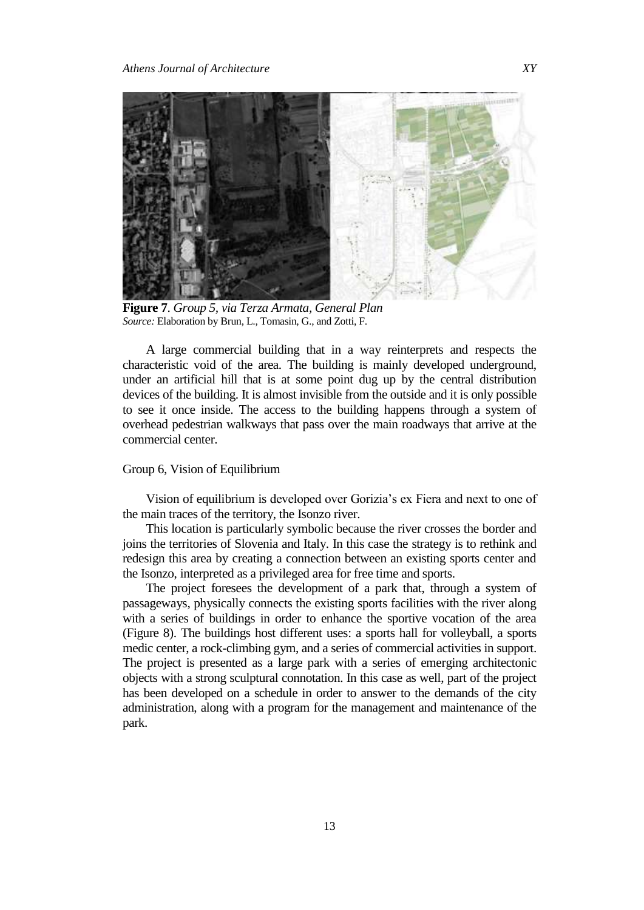

**Figure 7**. *Group 5, via Terza Armata, General Plan Source:* Elaboration by Brun, L., Tomasin, G., and Zotti, F.

A large commercial building that in a way reinterprets and respects the characteristic void of the area. The building is mainly developed underground, under an artificial hill that is at some point dug up by the central distribution devices of the building. It is almost invisible from the outside and it is only possible to see it once inside. The access to the building happens through a system of overhead pedestrian walkways that pass over the main roadways that arrive at the commercial center.

# Group 6, Vision of Equilibrium

Vision of equilibrium is developed over Gorizia's ex Fiera and next to one of the main traces of the territory, the Isonzo river.

This location is particularly symbolic because the river crosses the border and joins the territories of Slovenia and Italy. In this case the strategy is to rethink and redesign this area by creating a connection between an existing sports center and the Isonzo, interpreted as a privileged area for free time and sports.

The project foresees the development of a park that, through a system of passageways, physically connects the existing sports facilities with the river along with a series of buildings in order to enhance the sportive vocation of the area (Figure 8). The buildings host different uses: a sports hall for volleyball, a sports medic center, a rock-climbing gym, and a series of commercial activities in support. The project is presented as a large park with a series of emerging architectonic objects with a strong sculptural connotation. In this case as well, part of the project has been developed on a schedule in order to answer to the demands of the city administration, along with a program for the management and maintenance of the park.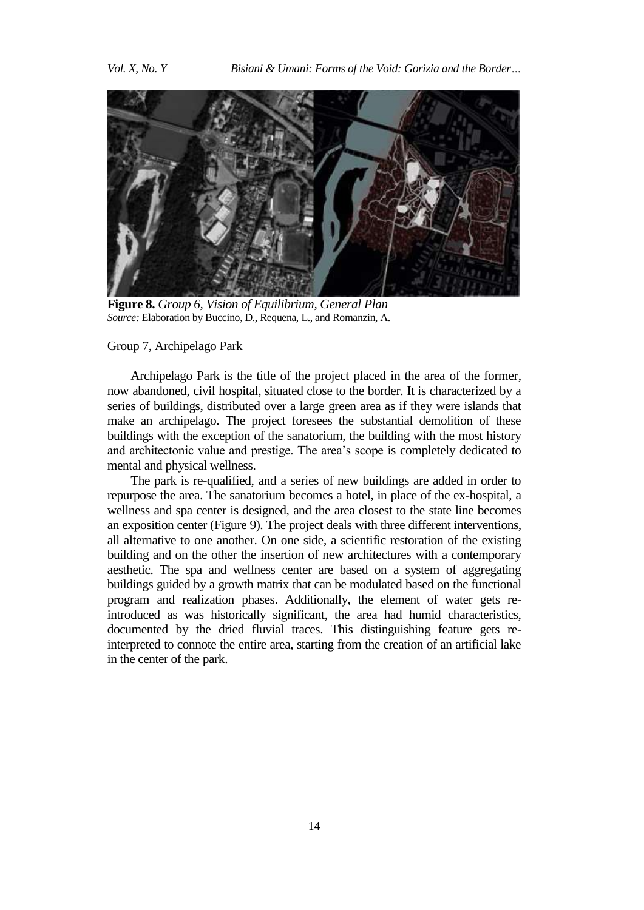

**Figure 8.** *Group 6, Vision of Equilibrium, General Plan Source:* Elaboration by Buccino, D., Requena, L., and Romanzin, A.

#### Group 7, Archipelago Park

Archipelago Park is the title of the project placed in the area of the former, now abandoned, civil hospital, situated close to the border. It is characterized by a series of buildings, distributed over a large green area as if they were islands that make an archipelago. The project foresees the substantial demolition of these buildings with the exception of the sanatorium, the building with the most history and architectonic value and prestige. The area's scope is completely dedicated to mental and physical wellness.

The park is re-qualified, and a series of new buildings are added in order to repurpose the area. The sanatorium becomes a hotel, in place of the ex-hospital, a wellness and spa center is designed, and the area closest to the state line becomes an exposition center (Figure 9). The project deals with three different interventions, all alternative to one another. On one side, a scientific restoration of the existing building and on the other the insertion of new architectures with a contemporary aesthetic. The spa and wellness center are based on a system of aggregating buildings guided by a growth matrix that can be modulated based on the functional program and realization phases. Additionally, the element of water gets reintroduced as was historically significant, the area had humid characteristics, documented by the dried fluvial traces. This distinguishing feature gets reinterpreted to connote the entire area, starting from the creation of an artificial lake in the center of the park.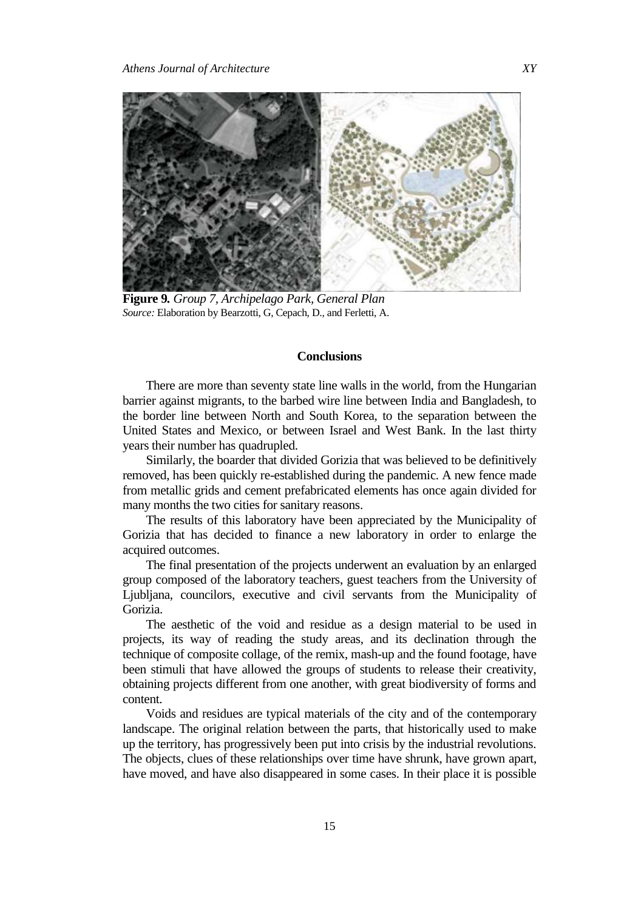

**Figure 9***. Group 7, Archipelago Park, General Plan Source:* Elaboration by Bearzotti, G, Cepach, D., and Ferletti, A.

## **Conclusions**

There are more than seventy state line walls in the world, from the Hungarian barrier against migrants, to the barbed wire line between India and Bangladesh, to the border line between North and South Korea, to the separation between the United States and Mexico, or between Israel and West Bank. In the last thirty years their number has quadrupled.

Similarly, the boarder that divided Gorizia that was believed to be definitively removed, has been quickly re-established during the pandemic. A new fence made from metallic grids and cement prefabricated elements has once again divided for many months the two cities for sanitary reasons.

The results of this laboratory have been appreciated by the Municipality of Gorizia that has decided to finance a new laboratory in order to enlarge the acquired outcomes.

The final presentation of the projects underwent an evaluation by an enlarged group composed of the laboratory teachers, guest teachers from the University of Ljubljana, councilors, executive and civil servants from the Municipality of Gorizia.

The aesthetic of the void and residue as a design material to be used in projects, its way of reading the study areas, and its declination through the technique of composite collage, of the remix, mash-up and the found footage, have been stimuli that have allowed the groups of students to release their creativity, obtaining projects different from one another, with great biodiversity of forms and content.

Voids and residues are typical materials of the city and of the contemporary landscape. The original relation between the parts, that historically used to make up the territory, has progressively been put into crisis by the industrial revolutions. The objects, clues of these relationships over time have shrunk, have grown apart, have moved, and have also disappeared in some cases. In their place it is possible

15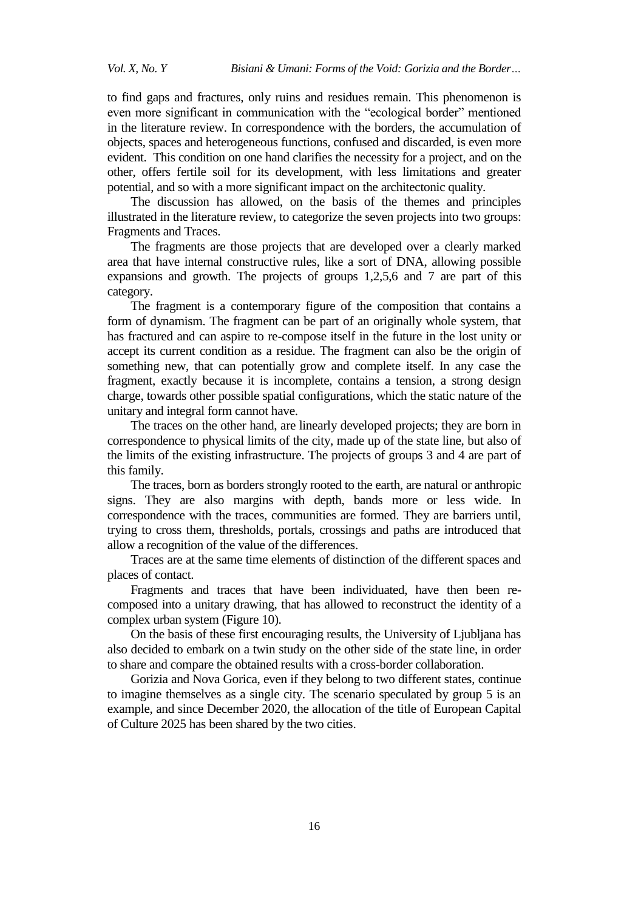to find gaps and fractures, only ruins and residues remain. This phenomenon is even more significant in communication with the "ecological border" mentioned in the literature review. In correspondence with the borders, the accumulation of objects, spaces and heterogeneous functions, confused and discarded, is even more evident. This condition on one hand clarifies the necessity for a project, and on the other, offers fertile soil for its development, with less limitations and greater potential, and so with a more significant impact on the architectonic quality.

The discussion has allowed, on the basis of the themes and principles illustrated in the literature review, to categorize the seven projects into two groups: Fragments and Traces.

The fragments are those projects that are developed over a clearly marked area that have internal constructive rules, like a sort of DNA, allowing possible expansions and growth. The projects of groups 1,2,5,6 and 7 are part of this category.

The fragment is a contemporary figure of the composition that contains a form of dynamism. The fragment can be part of an originally whole system, that has fractured and can aspire to re-compose itself in the future in the lost unity or accept its current condition as a residue. The fragment can also be the origin of something new, that can potentially grow and complete itself. In any case the fragment, exactly because it is incomplete, contains a tension, a strong design charge, towards other possible spatial configurations, which the static nature of the unitary and integral form cannot have.

The traces on the other hand, are linearly developed projects; they are born in correspondence to physical limits of the city, made up of the state line, but also of the limits of the existing infrastructure. The projects of groups 3 and 4 are part of this family.

The traces, born as borders strongly rooted to the earth, are natural or anthropic signs. They are also margins with depth, bands more or less wide. In correspondence with the traces, communities are formed. They are barriers until, trying to cross them, thresholds, portals, crossings and paths are introduced that allow a recognition of the value of the differences.

Traces are at the same time elements of distinction of the different spaces and places of contact.

Fragments and traces that have been individuated, have then been recomposed into a unitary drawing, that has allowed to reconstruct the identity of a complex urban system (Figure 10).

On the basis of these first encouraging results, the University of Ljubljana has also decided to embark on a twin study on the other side of the state line, in order to share and compare the obtained results with a cross-border collaboration.

Gorizia and Nova Gorica, even if they belong to two different states, continue to imagine themselves as a single city. The scenario speculated by group 5 is an example, and since December 2020, the allocation of the title of European Capital of Culture 2025 has been shared by the two cities.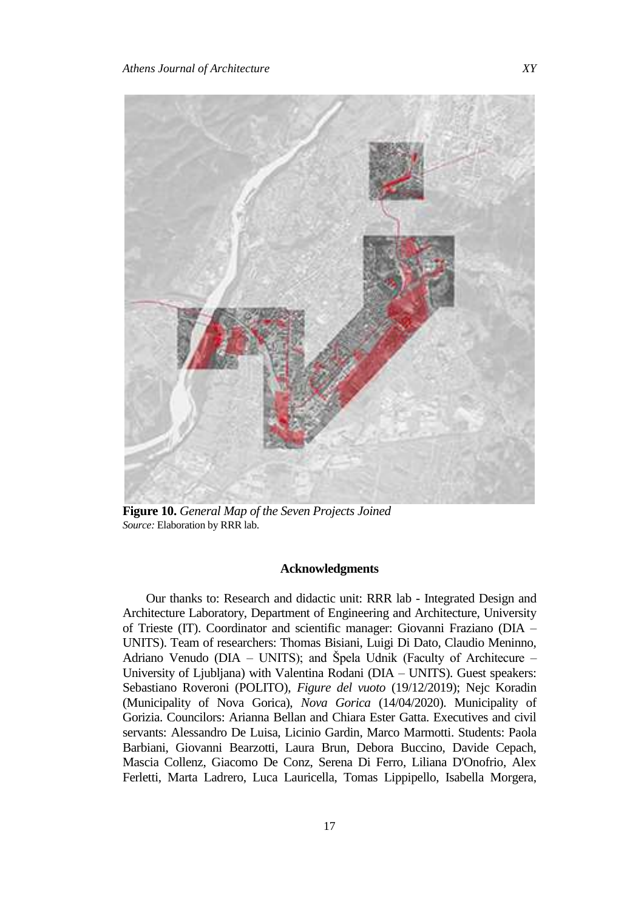

**Figure 10.** *General Map of the Seven Projects Joined Source:* Elaboration by RRR lab.

# **Acknowledgments**

Our thanks to: Research and didactic unit: RRR lab - Integrated Design and Architecture Laboratory, Department of Engineering and Architecture, University of Trieste (IT). Coordinator and scientific manager: Giovanni Fraziano (DIA – UNITS). Team of researchers: Thomas Bisiani, Luigi Di Dato, Claudio Meninno, Adriano Venudo (DIA – UNITS); and Špela Udnik (Faculty of Architecure – University of Ljubljana) with Valentina Rodani (DIA – UNITS). Guest speakers: Sebastiano Roveroni (POLITO), *Figure del vuoto* (19/12/2019); Nejc Koradin (Municipality of Nova Gorica), *Nova Gorica* (14/04/2020). Municipality of Gorizia. Councilors: Arianna Bellan and Chiara Ester Gatta. Executives and civil servants: Alessandro De Luisa, Licinio Gardin, Marco Marmotti. Students: Paola Barbiani, Giovanni Bearzotti, Laura Brun, Debora Buccino, Davide Cepach, Mascia Collenz, Giacomo De Conz, Serena Di Ferro, Liliana D'Onofrio, Alex Ferletti, Marta Ladrero, Luca Lauricella, Tomas Lippipello, Isabella Morgera,